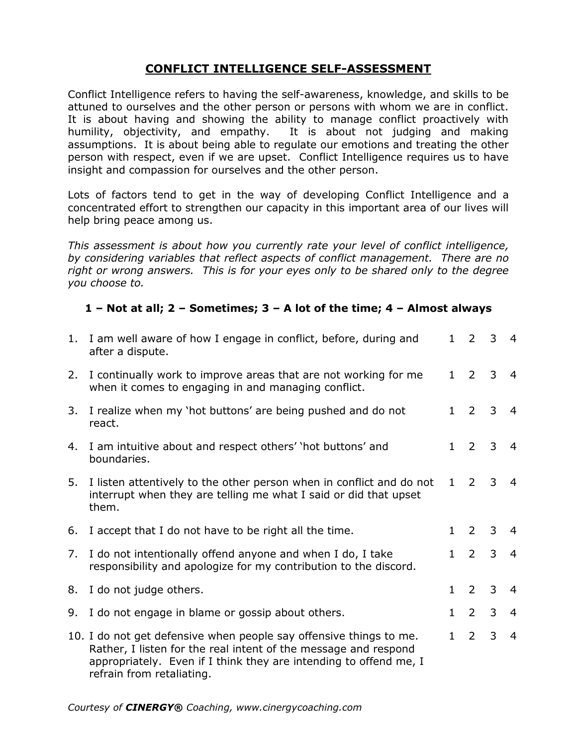## **CONFLICT INTELLIGENCE SELF-ASSESSMENT**

Conflict Intelligence refers to having the self-awareness, knowledge, and skills to be attuned to ourselves and the other person or persons with whom we are in conflict. It is about having and showing the ability to manage conflict proactively with humility, objectivity, and empathy. It is about not judging and making assumptions. It is about being able to regulate our emotions and treating the other person with respect, even if we are upset. Conflict Intelligence requires us to have insight and compassion for ourselves and the other person.

Lots of factors tend to get in the way of developing Conflict Intelligence and a concentrated effort to strengthen our capacity in this important area of our lives will help bring peace among us.

*This assessment is about how you currently rate your level of conflict intelligence, by considering variables that reflect aspects of conflict management. There are no right or wrong answers. This is for your eyes only to be shared only to the degree you choose to.*

## **1 – Not at all; 2 – Sometimes; 3 – A lot of the time; 4 – Almost always**

|    | 1. I am well aware of how I engage in conflict, before, during and<br>after a dispute.                                                                                                                                                  | $\mathbf{1}$ | $\overline{2}$    | $\mathbf{3}$ | $\overline{4}$ |
|----|-----------------------------------------------------------------------------------------------------------------------------------------------------------------------------------------------------------------------------------------|--------------|-------------------|--------------|----------------|
| 2. | I continually work to improve areas that are not working for me<br>when it comes to engaging in and managing conflict.                                                                                                                  | $\mathbf{1}$ | $\overline{2}$    | 3            | $\overline{4}$ |
| 3. | I realize when my 'hot buttons' are being pushed and do not<br>react.                                                                                                                                                                   | $\mathbf{1}$ | 2                 | 3            | $\overline{a}$ |
| 4. | I am intuitive about and respect others' 'hot buttons' and<br>boundaries.                                                                                                                                                               | $\mathbf{1}$ | 2                 | 3            | $\overline{4}$ |
| 5. | I listen attentively to the other person when in conflict and do not<br>interrupt when they are telling me what I said or did that upset<br>them.                                                                                       | $\mathbf{1}$ | $\overline{2}$    | 3            | $\overline{4}$ |
| 6. | I accept that I do not have to be right all the time.                                                                                                                                                                                   | $\mathbf{1}$ | 2                 | 3            | $\overline{4}$ |
| 7. | I do not intentionally offend anyone and when I do, I take<br>responsibility and apologize for my contribution to the discord.                                                                                                          |              | $1\quad 2$        | $\mathbf{3}$ | $\overline{4}$ |
| 8. | I do not judge others.                                                                                                                                                                                                                  | $\mathbf{1}$ | $\overline{2}$    | $\mathbf{3}$ | $\overline{4}$ |
| 9. | I do not engage in blame or gossip about others.                                                                                                                                                                                        | $\mathbf{1}$ | $\overline{2}$    | 3            | $\overline{4}$ |
|    | 10. I do not get defensive when people say offensive things to me.<br>Rather, I listen for the real intent of the message and respond<br>appropriately. Even if I think they are intending to offend me, I<br>refrain from retaliating. |              | $1\quad 2\quad 3$ |              | $\overline{4}$ |

*Courtesy of CINERGY® Coaching, www.cinergycoaching.com*